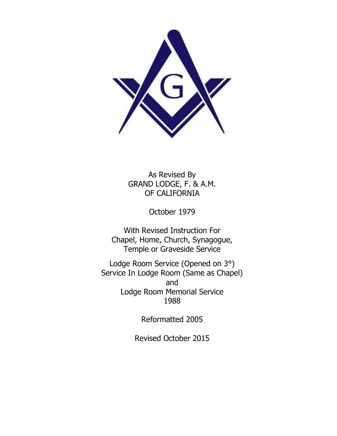

As Revised By GRAND LODGE, F. & A.M. OF CALIFORNIA

October 1979

With Revised Instruction For Chapel, Home, Church, Synagogue, Temple or Graveside Service

Lodge Room Service (Opened on 3°) Service In Lodge Room (Same as Chapel) and Lodge Room Memorial Service 1988

Reformatted 2005

Revised October 2015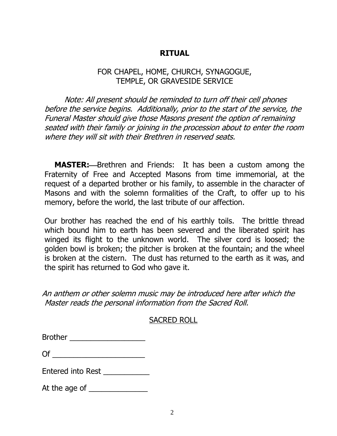# **RITUAL**

# FOR CHAPEL, HOME, CHURCH, SYNAGOGUE, TEMPLE, OR GRAVESIDE SERVICE

Note: All present should be reminded to turn off their cell phones before the service begins. Additionally, prior to the start of the service, the Funeral Master should give those Masons present the option of remaining seated with their family or joining in the procession about to enter the room where they will sit with their Brethren in reserved seats.

**MASTER:**---Brethren and Friends: It has been a custom among the Fraternity of Free and Accepted Masons from time immemorial, at the request of a departed brother or his family, to assemble in the character of Masons and with the solemn formalities of the Craft, to offer up to his memory, before the world, the last tribute of our affection.

Our brother has reached the end of his earthly toils. The brittle thread which bound him to earth has been severed and the liberated spirit has winged its flight to the unknown world. The silver cord is loosed; the golden bowl is broken; the pitcher is broken at the fountain; and the wheel is broken at the cistern. The dust has returned to the earth as it was, and the spirit has returned to God who gave it.

An anthem or other solemn music may be introduced here after which the Master reads the personal information from the Sacred Roll.

#### SACRED ROLL

| <b>Brother</b> |  |  |
|----------------|--|--|
|                |  |  |

|--|

Entered into Rest

At the age of \_\_\_\_\_\_\_\_\_\_\_\_\_\_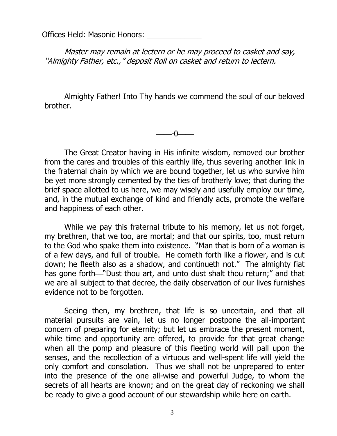Offices Held: Masonic Honors: \_\_\_\_\_\_\_\_\_\_\_\_\_

Master may remain at lectern or he may proceed to casket and say, "Almighty Father, etc.," deposit Roll on casket and return to lectern.

Almighty Father! Into Thy hands we commend the soul of our beloved brother.

-0

The Great Creator having in His infinite wisdom, removed our brother from the cares and troubles of this earthly life, thus severing another link in the fraternal chain by which we are bound together, let us who survive him be yet more strongly cemented by the ties of brotherly love; that during the brief space allotted to us here, we may wisely and usefully employ our time, and, in the mutual exchange of kind and friendly acts, promote the welfare and happiness of each other.

While we pay this fraternal tribute to his memory, let us not forget, my brethren, that we too, are mortal; and that our spirits, too, must return to the God who spake them into existence. "Man that is born of a woman is of a few days, and full of trouble. He cometh forth like a flower, and is cut down; he fleeth also as a shadow, and continueth not." The almighty fiat has gone forth—"Dust thou art, and unto dust shalt thou return;" and that we are all subject to that decree, the daily observation of our lives furnishes evidence not to be forgotten.

Seeing then, my brethren, that life is so uncertain, and that all material pursuits are vain, let us no longer postpone the all-important concern of preparing for eternity; but let us embrace the present moment, while time and opportunity are offered, to provide for that great change when all the pomp and pleasure of this fleeting world will pall upon the senses, and the recollection of a virtuous and well-spent life will yield the only comfort and consolation. Thus we shall not be unprepared to enter into the presence of the one all-wise and powerful Judge, to whom the secrets of all hearts are known; and on the great day of reckoning we shall be ready to give a good account of our stewardship while here on earth.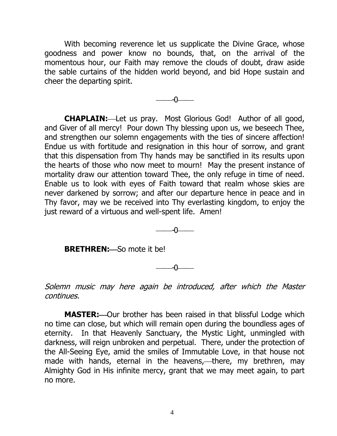With becoming reverence let us supplicate the Divine Grace, whose goodness and power know no bounds, that, on the arrival of the momentous hour, our Faith may remove the clouds of doubt, draw aside the sable curtains of the hidden world beyond, and bid Hope sustain and cheer the departing spirit.

 $-0$ 

**CHAPLAIN:**Let us pray. Most Glorious God! Author of all good, and Giver of all mercy! Pour down Thy blessing upon us, we beseech Thee, and strengthen our solemn engagements with the ties of sincere affection! Endue us with fortitude and resignation in this hour of sorrow, and grant that this dispensation from Thy hands may be sanctified in its results upon the hearts of those who now meet to mourn! May the present instance of mortality draw our attention toward Thee, the only refuge in time of need. Enable us to look with eyes of Faith toward that realm whose skies are never darkened by sorrow; and after our departure hence in peace and in Thy favor, may we be received into Thy everlasting kingdom, to enjoy the just reward of a virtuous and well-spent life. Amen!

-0

**BRETHREN:** So mote it be!

ብ

Solemn music may here again be introduced, after which the Master continues.

**MASTER:** Our brother has been raised in that blissful Lodge which no time can close, but which will remain open during the boundless ages of eternity. In that Heavenly Sanctuary, the Mystic Light, unmingled with darkness, will reign unbroken and perpetual. There, under the protection of the All-Seeing Eye, amid the smiles of Immutable Love, in that house not made with hands, eternal in the heavens,—there, my brethren, may Almighty God in His infinite mercy, grant that we may meet again, to part no more.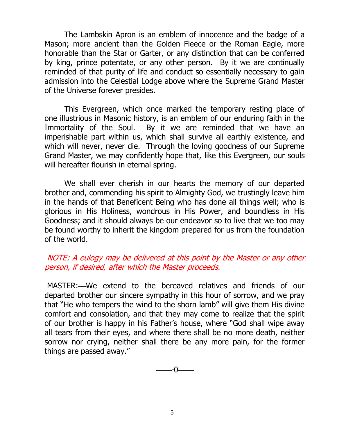The Lambskin Apron is an emblem of innocence and the badge of a Mason; more ancient than the Golden Fleece or the Roman Eagle, more honorable than the Star or Garter, or any distinction that can be conferred by king, prince potentate, or any other person. By it we are continually reminded of that purity of life and conduct so essentially necessary to gain admission into the Celestial Lodge above where the Supreme Grand Master of the Universe forever presides.

This Evergreen, which once marked the temporary resting place of one illustrious in Masonic history, is an emblem of our enduring faith in the Immortality of the Soul. By it we are reminded that we have an imperishable part within us, which shall survive all earthly existence, and which will never, never die. Through the loving goodness of our Supreme Grand Master, we may confidently hope that, like this Evergreen, our souls will hereafter flourish in eternal spring.

We shall ever cherish in our hearts the memory of our departed brother and, commending his spirit to Almighty God, we trustingly leave him in the hands of that Beneficent Being who has done all things well; who is glorious in His Holiness, wondrous in His Power, and boundless in His Goodness; and it should always be our endeavor so to live that we too may be found worthy to inherit the kingdom prepared for us from the foundation of the world.

# NOTE: A eulogy may be delivered at this point by the Master or any other person, if desired, after which the Master proceeds.

MASTER: We extend to the bereaved relatives and friends of our departed brother our sincere sympathy in this hour of sorrow, and we pray that "He who tempers the wind to the shorn lamb" will give them His divine comfort and consolation, and that they may come to realize that the spirit of our brother is happy in his Father's house, where "God shall wipe away all tears from their eyes, and where there shall be no more death, neither sorrow nor crying, neither shall there be any more pain, for the former things are passed away."

-0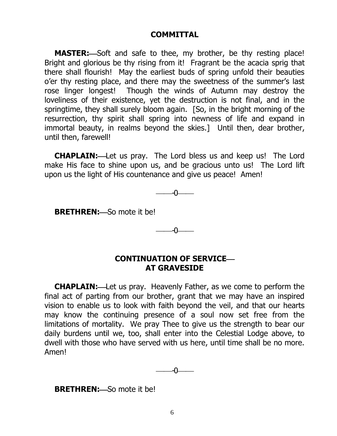#### **COMMITTAL**

**MASTER:**-Soft and safe to thee, my brother, be thy resting place! Bright and glorious be thy rising from it! Fragrant be the acacia sprig that there shall flourish! May the earliest buds of spring unfold their beauties o'er thy resting place, and there may the sweetness of the summer's last rose linger longest! Though the winds of Autumn may destroy the loveliness of their existence, yet the destruction is not final, and in the springtime, they shall surely bloom again. [So, in the bright morning of the resurrection, thy spirit shall spring into newness of life and expand in immortal beauty, in realms beyond the skies.] Until then, dear brother, until then, farewell!

**CHAPLAIN:**Let us pray.The Lord bless us and keep us! The Lord make His face to shine upon us, and be gracious unto us! The Lord lift upon us the light of His countenance and give us peace! Amen!

 $-$ 

**BRETHREN:** So mote it be!

-0

# **CONTINUATION OF SERVICE AT GRAVESIDE**

**CHAPLAIN:** Let us pray. Heavenly Father, as we come to perform the final act of parting from our brother, grant that we may have an inspired vision to enable us to look with faith beyond the veil, and that our hearts may know the continuing presence of a soul now set free from the limitations of mortality. We pray Thee to give us the strength to bear our daily burdens until we, too, shall enter into the Celestial Lodge above, to dwell with those who have served with us here, until time shall be no more. Amen!

-0

**BRETHREN:** So mote it be!